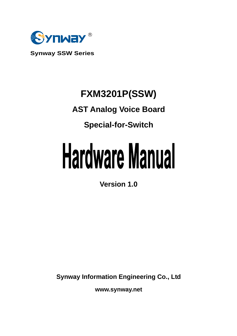

**Synway SSW Series**

# **FXM3201P(SSW)**

# **AST Analog Voice Board**

# **Special-for-Switch**

# **Hardware Manual**

**Version 1.0** 

**Synway Information Engineering Co., Ltd**

**www.synway.net**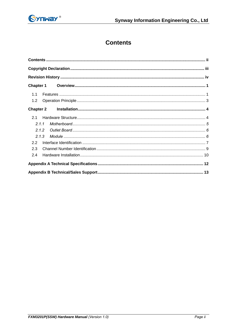<span id="page-1-0"></span>

# **Contents**

| 1.1   |  |  |  |
|-------|--|--|--|
| 1.2   |  |  |  |
|       |  |  |  |
|       |  |  |  |
| 2.1.1 |  |  |  |
| 2.1.2 |  |  |  |
| 2.1.3 |  |  |  |
| 2.2   |  |  |  |
| 2.3   |  |  |  |
| 2.4   |  |  |  |
|       |  |  |  |
|       |  |  |  |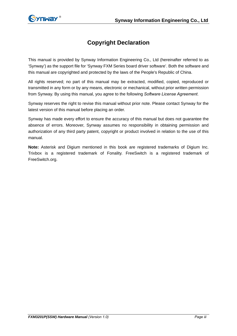<span id="page-2-0"></span>

# **Copyright Declaration**

This manual is provided by Synway Information Engineering Co., Ltd (hereinafter referred to as 'Synway') as the support file for 'Synway FXM Series board driver software'. Both the software and this manual are copyrighted and protected by the laws of the People's Republic of China.

All rights reserved; no part of this manual may be extracted, modified, copied, reproduced or transmitted in any form or by any means, electronic or mechanical, without prior written permission from Synway. By using this manual, you agree to the following *Software License Agreement*.

Synway reserves the right to revise this manual without prior note. Please contact Synway for the latest version of this manual before placing an order.

Synway has made every effort to ensure the accuracy of this manual but does not guarantee the absence of errors. Moreover, Synway assumes no responsibility in obtaining permission and authorization of any third party patent, copyright or product involved in relation to the use of this manual.

**Note:** Asterisk and Digium mentioned in this book are registered trademarks of Digium Inc. Trixbox is a registered trademark of Fonality. FreeSwitch is a registered trademark of FreeSwitch.org.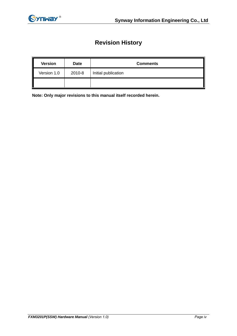<span id="page-3-0"></span>

# **Revision History**

| <b>Version</b> | Date   | <b>Comments</b>     |
|----------------|--------|---------------------|
| Version 1.0    | 2010-8 | Initial publication |
|                |        |                     |

**Note: Only major revisions to this manual itself recorded herein.**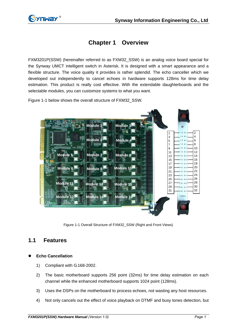<span id="page-4-0"></span>

# **Chapter 1 Overview**

FXM3201P(SSW) (hereinafter referred to as FXM32\_SSW) is an analog voice board special for the Synway UMCT intelligent switch in Asterisk. It is designed with a smart appearance and a flexible structure. The voice quality it provides is rather splendid. The echo canceller which we developed out independently to cancel echoes in hardware supports 128ms for time delay estimation. This product is really cost effective. With the extendable daughterboards and the selectable modules, you can customize systems to what you want.

[Figure 1-1](#page-4-1) below shows the overall structure of FXM32\_SSW.



Figure 1-1 Overall Structure of FXM32\_SSW (Right and Front Views)

# <span id="page-4-1"></span>**1.1 Features**

## z **Echo Cancellation**

- 1) Compliant with G.168-2002.
- 2) The basic motherboard supports 256 point (32ms) for time delay estimation on each channel while the enhanced motherboard supports 1024 point (128ms).
- 3) Uses the DSPs on the motherboard to process echoes, not wasting any host resources.
- 4) Not only cancels out the effect of voice playback on DTMF and busy tones detection, but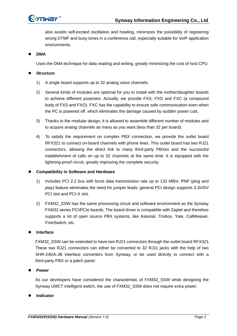

also avoids self-excited oscillation and howling, minimizes the possibility of registering wrong DTMF and busy tones in a conference call, especially suitable for VoIP application environments.

z **DMA** 

Uses the DMA technique for data reading and writing, greatly minimizing the cost of host CPU.

#### $\bullet$ **Structure**

- 1) A single board supports up to 32 analog voice channels.
- 2) Several kinds of modules are optional for you to install with the mother/daughter boards to achieve different purposes. Actually, we provide FXS, FXO and FXC (a compound body of FXS and FXO). FXC has the capability to ensure safe communication even when the PC is powered off, which eliminates the damage caused by sudden power cuts.
- 3) Thanks to the modular design, it is allowed to assemble different number of modules and to acquire analog channels as many as you want (less than 32 per board).
- 4) To satisfy the requirement on complex PBX connection, we provide the outlet board RFX321 to connect on-board channels with phone lines. This outlet board has two RJ21 connectors, allowing the direct link to many third-party PBXes and the successful establishment of calls on up to 32 channels at the same time. It is equipped with the lightning-proof circuit, greatly improving the complete security.

## **• Compatibility in Software and Hardware**

- 1) Includes PCI 2.2 bus with burst data transmission rate up to 132 MB/s; PNP (plug and play) feature eliminates the need for jumper leads; general PCI design supports 3.3V/5V PCI slot and PCI-X slot.
- 2) FXM32\_SSW has the same processing circuit and software environment as the Synway FXM32 series PCI/PCIe boards. The board driver is compatible with Zaptel and therefore supports a lot of open source PBX systems, like Asterisk, Trixbox, Yate, CallWeaver, FreeSwitch, etc.

## **Interface**

FXM32\_SSW can be extended to have two RJ21 connectors through the outlet board RFX321. These two RJ21 connectors can either be converted to 32 RJ11 jacks with the help of two SHR-24DA-JB interface converters from Synway, or be used directly to connect with a third-party PBX or a patch panel.

#### $\bullet$ **Power**

As our developers have considered the characteristic of FXM32\_SSW while designing the Synway UMCT intelligent switch, the use of FXM32\_SSW does not require extra power.

#### $\bullet$ **Indicator**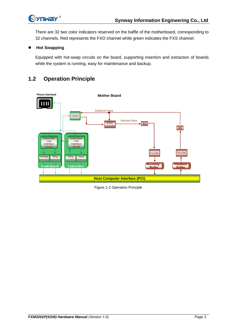<span id="page-6-0"></span>

There are 32 two color indicators reserved on the baffle of the motherboard, corresponding to 32 channels. Red represents the FXO channel while green indicates the FXS channel.

## **Hot Swapping**

Equipped with hot-swap circuits on the board, supporting insertion and extraction of boards while the system is running, easy for maintenance and backup.

# **1.2 Operation Principle**



Figure 1-2 Operation Principle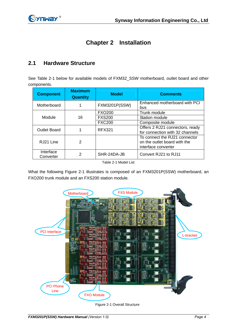# **Chapter 2 Installation**

#### <span id="page-7-0"></span>**2.1 Hardware Structure**

See [Table 2-1](#page-7-1) below for available models of FXM32\_SSW motherboard, outlet board and other components.

| <b>Component</b>       | <b>Maximum</b><br><b>Quantity</b> | <b>Model</b>         | <b>Comments</b>                                                                      |  |
|------------------------|-----------------------------------|----------------------|--------------------------------------------------------------------------------------|--|
| Motherboard            |                                   | <b>FXM3201P(SSW)</b> | Enhanced motherboard with PCI<br>bus                                                 |  |
|                        |                                   | <b>FXO200</b>        | Trunk module                                                                         |  |
| Module<br>16           |                                   | <b>FXS200</b>        | Station module                                                                       |  |
|                        |                                   | <b>FXC200</b>        | Composite module                                                                     |  |
| <b>Outlet Board</b>    |                                   | <b>RFX321</b>        | Offers 2 RJ21 connectors, ready<br>for connection with 32 channels                   |  |
| RJ21 Line              | 2                                 |                      | To connect the RJ21 connector<br>on the outlet board with the<br>interface converter |  |
| Interface<br>Converter | 2                                 | SHR-24DA-JB          | Convert RJ21 to RJ11                                                                 |  |

Table 2-1 Model List

<span id="page-7-1"></span>What the following [Figure 2-1](#page-7-2) illustrates is composed of an FXM3201P(SSW) motherboard, an FXO200 trunk module and an FXS200 station module.



<span id="page-7-2"></span>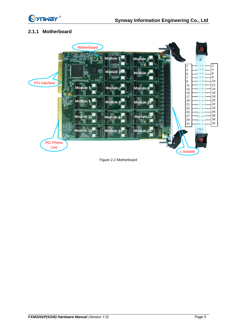<span id="page-8-0"></span>

# **2.1.1 Motherboard**



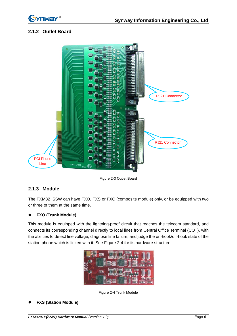<span id="page-9-0"></span>

# **2.1.2 Outlet Board**



Figure 2-3 Outlet Board

# **2.1.3 Module**

The FXM32\_SSW can have FXO, FXS or FXC (composite module) only, or be equipped with two or three of them at the same time.

## **•** FXO (Trunk Module)

This module is equipped with the lightning-proof circuit that reaches the telecom standard, and connects its corresponding channel directly to local lines from Central Office Terminal (COT), with the abilities to detect line voltage, diagnose line failure, and judge the on-hook/off-hook state of the station phone which is linked with it. See [Figure 2-4](#page-9-1) for its hardware structure.

| E | <b>ID</b><br><b>Ho.</b><br>п |
|---|------------------------------|
|   |                              |
| × |                              |

Figure 2-4 Trunk Module

<span id="page-9-1"></span>z **FXS (Station Module)**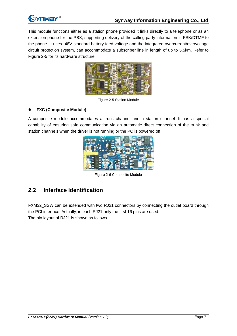<span id="page-10-0"></span>

This module functions either as a station phone provided it links directly to a telephone or as an extension phone for the PBX, supporting delivery of the calling party information in FSK/DTMF to the phone. It uses -48V standard battery feed voltage and the integrated overcurrent/overvoltage circuit protection system, can accommodate a subscriber line in length of up to 5.5km. Refer to [Figure 2-5](#page-10-1) for its hardware structure.



Figure 2-5 Station Module

## <span id="page-10-1"></span>z **FXC (Composite Module)**

A composite module accommodates a trunk channel and a station channel. It has a special capability of ensuring safe communication via an automatic direct connection of the trunk and station channels when the driver is not running or the PC is powered off.



Figure 2-6 Composite Module

# **2.2 Interface Identification**

FXM32 SSW can be extended with two RJ21 connectors by connecting the outlet board through the PCI interface. Actually, in each RJ21 only the first 16 pins are used. The pin layout of RJ21 is shown as follows.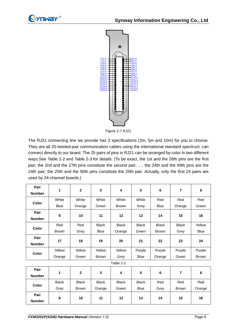



Figure 2-7 RJ21

The RJ21 connecting line we provide has 3 specifications (3m, 5m and 10m) for you to choose. They are all 25-twisted-pair communication cables using the international standard spectrum, can connect directly to our board. The 25 pairs of pins in RJ21 can be arranged by color in two different ways.See [Table 2-2](#page-11-0) and [Table 2-3](#page-12-1) for details. (To be exact, the 1st and the 26th pins are the first pair; the 2nd and the 27th pins constitute the second pair; …; the 24th and the 49th pins are the 24th pair; the 25th and the 50th pins constitute the 25th pair. Actually, only the first 24 pairs are used by 24-channel boards.)

<span id="page-11-0"></span>

| Pair<br><b>Number</b> | 1            | $\mathbf{2}$ | 3            | 4            | 5            | $\bf 6$      | 7            | 8           |
|-----------------------|--------------|--------------|--------------|--------------|--------------|--------------|--------------|-------------|
|                       |              |              |              |              |              |              |              |             |
| Color                 | White        | White        | White        | White        | White        | Red          | Red          | Red         |
|                       | <b>Blue</b>  | Orange       | Green        | <b>Brown</b> | Grey         | <b>Blue</b>  | Orange       | Green       |
| Pair                  |              |              |              |              |              |              |              |             |
| <b>Number</b>         | 9            | 10           | 11           | 12           | 13           | 14           | 15           | 16          |
|                       | Red          | Red          | <b>Black</b> | <b>Black</b> | <b>Black</b> | <b>Black</b> | <b>Black</b> | Yellow      |
| Color                 | <b>Brown</b> | Grey         | <b>Blue</b>  | Orange       | Green        | <b>Brown</b> | Grey         | <b>Blue</b> |
| Pair                  |              |              |              |              |              |              |              |             |
| <b>Number</b>         | 17           | 18           | 19           | 20           | 21           | 22           | 23           | 24          |
| Color                 | Yellow       | Yellow       | Yellow       | Yellow       | Purple       | Purple       | Purple       | Purple      |
|                       | Orange       | Green        | <b>Brown</b> | Grey         | <b>Blue</b>  | Orange       | Green        | Brown       |
| Table 2-2             |              |              |              |              |              |              |              |             |
| Pair                  |              |              |              |              |              |              |              |             |
| <b>Number</b>         | 1            | $\mathbf{2}$ | 3            | 4            | 5            | 6            | 7            | 8           |
| Color                 | <b>Black</b> | <b>Black</b> | <b>Black</b> | <b>Black</b> | <b>Black</b> | Red          | Red          | Red         |
|                       | Grey         | <b>Brown</b> | Orange       | Green        | <b>Blue</b>  | Grey         | <b>Brown</b> | Orange      |
| Pair                  |              | 10           | 11           | 12           | 13           | 14           |              | 16          |
| <b>Number</b>         | 9            |              |              |              |              |              | 15           |             |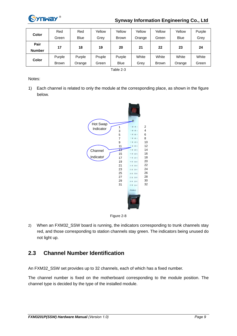<span id="page-12-0"></span>

# **Synway Information Engineering Co., Ltd**

| Color         | Red          | Red         | Yellow | Yellow       | Yellow | Yellow       | Yellow      | Purple |
|---------------|--------------|-------------|--------|--------------|--------|--------------|-------------|--------|
|               | Green        | <b>Blue</b> | Grev   | <b>Brown</b> | Orange | Green        | <b>Blue</b> | Grev   |
| Pair          | 17           | 18          | 19     | 20           | 21     | 22           | 23          | 24     |
| <b>Number</b> |              |             |        |              |        |              |             |        |
| Color         | Purple       | Purple      | Pruple | Purple       | White  | White        | White       | White  |
|               | <b>Brown</b> | Orange      | Green  | <b>Blue</b>  | Grey   | <b>Brown</b> | Orange      | Green  |

Table 2-3

<span id="page-12-1"></span>Notes:

1) Each channel is related to only the module at the corresponding place, as shown in the figure below.



Figure 2-8

2) When an FXM32\_SSW board is running, the indicators corresponding to trunk channels stay red, and those corresponding to station channels stay green. The indicators being unused do not light up.

# **2.3 Channel Number Identification**

An FXM32\_SSW set provides up to 32 channels, each of which has a fixed number.

The channel number is fixed on the motherboard corresponding to the module position. The channel type is decided by the type of the installed module.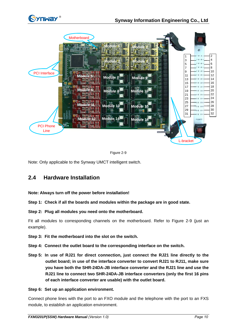<span id="page-13-0"></span>



<span id="page-13-1"></span>Note: Only applicable to the Synway UMCT intelligent switch.

# **2.4 Hardware Installation**

## **Note: Always turn off the power before installation!**

**Step 1: Check if all the boards and modules within the package are in good state.** 

**Step 2: Plug all modules you need onto the motherboard.** 

Fit all modules to corresponding channels on the motherboard. Refer to [Figure 2-9](#page-13-1) (just an example).

- **Step 3: Fit the motherboard into the slot on the switch.**
- **Step 4: Connect the outlet board to the corresponding interface on the switch.**
- **Step 5: In use of RJ21 for direct connection, just connect the RJ21 line directly to the outlet board; in use of the interface converter to convert RJ21 to RJ11, make sure you have both the SHR-24DA-JB interface converter and the RJ21 line and use the RJ21 line to connect two SHR-24DA-JB interface converters (only the first 16 pins of each interface converter are usable) with the outlet board.**

## **Step 6: Set up an application environment.**

Connect phone lines with the port to an FXO module and the telephone with the port to an FXS module, to establish an application environment.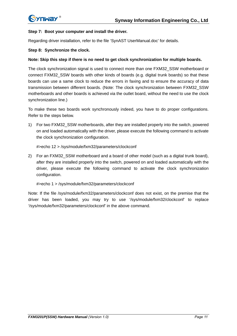#### **Step 7: Boot your computer and install the driver.**

Regarding driver installation, refer to the file 'SynAST UserManual.doc' for details.

#### **Step 8: Synchronize the clock.**

#### **Note: Skip this step if there is no need to get clock synchronization for multiple boards.**

The clock synchronization signal is used to connect more than one FXM32\_SSW motherboard or connect FXM32\_SSW boards with other kinds of boards (e.g. digital trunk boards) so that these boards can use a same clock to reduce the errors in faxing and to ensure the accuracy of data transmission between different boards. (Note: The clock synchronization between FXM32\_SSW motherboards and other boards is achieved via the outlet board, without the need to use the clock synchronization line.)

To make these two boards work synchronously indeed, you have to do proper configurations. Refer to the steps below.

1) For two FXM32\_SSW motherboards, after they are installed properly into the switch, powered on and loaded automatically with the driver, please execute the following command to activate the clock synchronization configuration.

#>echo 12 > /sys/module/fxm32/parameters/clockconf

2) For an FXM32\_SSW motherboard and a board of other model (such as a digital trunk board), after they are installed properly into the switch, powered on and loaded automatically with the driver, please execute the following command to activate the clock synchronization configuration.

#### #>echo 1 > /sys/module/fxm32/parameters/clockconf

Note: If the file /sys/module/fxm32/parameters/clockconf does not exist, on the premise that the driver has been loaded, you may try to use '/sys/module/fxm32/clockconf' to replace '/sys/module/fxm32/parameters/clockconf' in the above command.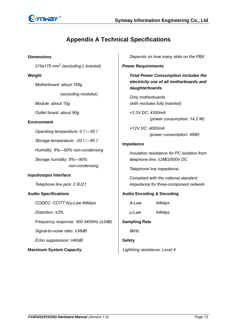<span id="page-15-0"></span>

# **Appendix A Technical Specifications**

**Dimensions** 

*219x175 mm<sup>2</sup> (excluding L-bracket)* 

## **Weight**

*Motherboard: about 185g (excluding modules)* 

*Module: about 10g* 

*Outlet board: about 90g* 

## **Environment**

*Operating temperature: 0*℃*—55*℃

*Storage temperature: -20*℃*—85*℃

*Humidity: 8%—90% non-condensing* 

*Storage humidity: 8%—90% non-condensing* 

## **Input/output Interface**

*Telephone line jack: 2 RJ21* 

## **Audio Specifications**

*CODEC: CCITT A/µ-Law 64kbps* 

*Distortion: ≤3%* 

*Frequency response: 300-3400Hz (±3dB)* 

*Signal-to-noise ratio: ≥38dB* 

*Echo suppression: ≥40dB* 

**Maximum System Capacity** 

*Depends on how many slots on the PBX* 

#### **Power Requirements**

*Total Power Consumption includes the electricity use of all motherboards and daughterboards.* 

*Only motherboards (with modules fully inserted)*

*+3.3V DC: 4300mA (power consumption: 14.2 W)* 

*+12V DC: 4000mA (power consumption: 48W)* 

#### **Impedance**

*Insulation resistance for PC isolation from telephone line: ≥2MΩ/500V DC* 

*Telephone line impedance:* 

*Compliant with the national standard impedance for three-component network* 

# **Audio Encoding & Decoding**

| A-Law | 64kbps |
|-------|--------|
|       |        |

*μ-Law 64kbps* 

## **Sampling Rate**

*8kHz* 

# **Safety**

*Lightning resistance: Level 4*